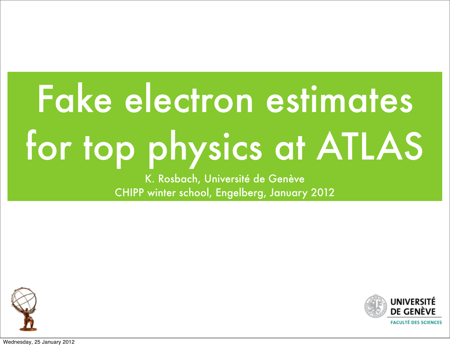# Fake electron estimates for top physics at ATLAS

K. Rosbach, Université de Genève CHIPP winter school, Engelberg, January 2012





Wednesday, 25 January 2012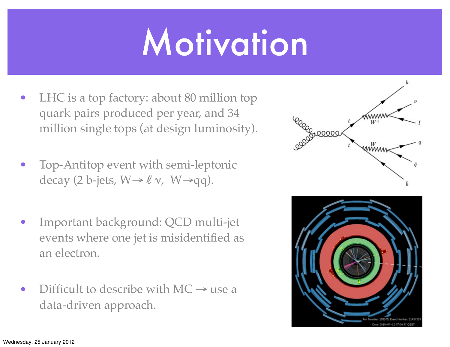## Motivation

- LHC is a top factory: about 80 million top quark pairs produced per year, and 34 million single tops (at design luminosity).
- Top-Antitop event with semi-leptonic decay (2 b-jets,  $W \rightarrow \ell \nu$ ,  $W \rightarrow qq$ ).
- Important background: QCD multi-jet events where one jet is misidentified as an electron.
- Difficult to describe with  $MC \rightarrow$  use a data-driven approach.

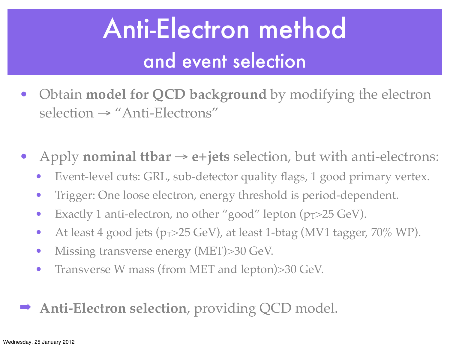#### Anti-Electron method and event selection

- Obtain **model for QCD background** by modifying the electron selection → "Anti-Electrons"
- Apply **nominal ttbar**  $\rightarrow$  e+jets selection, but with anti-electrons:
	- Event-level cuts: GRL, sub-detector quality flags, 1 good primary vertex.
	- Trigger: One loose electron, energy threshold is period-dependent.
	- Exactly 1 anti-electron, no other "good" lepton  $(p_T > 25 \text{ GeV})$ .
	- At least 4 good jets  $(p_T>25 \text{ GeV})$ , at least 1-btag (MV1 tagger, 70% WP).
	- Missing transverse energy (MET)>30 GeV.
	- Transverse W mass (from MET and lepton)>30 GeV.
- ➡ **Anti-Electron selection**, providing QCD model.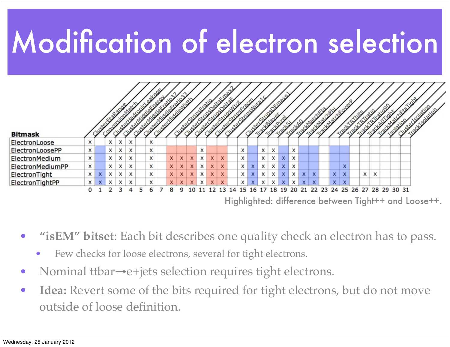### Modification of electron selection



• **"isEM" bitset**: Each bit describes one quality check an electron has to pass.

- Few checks for loose electrons, several for tight electrons.
- Nominal ttbar→e+jets selection requires tight electrons.
- **Idea:** Revert some of the bits required for tight electrons, but do not move outside of loose definition.